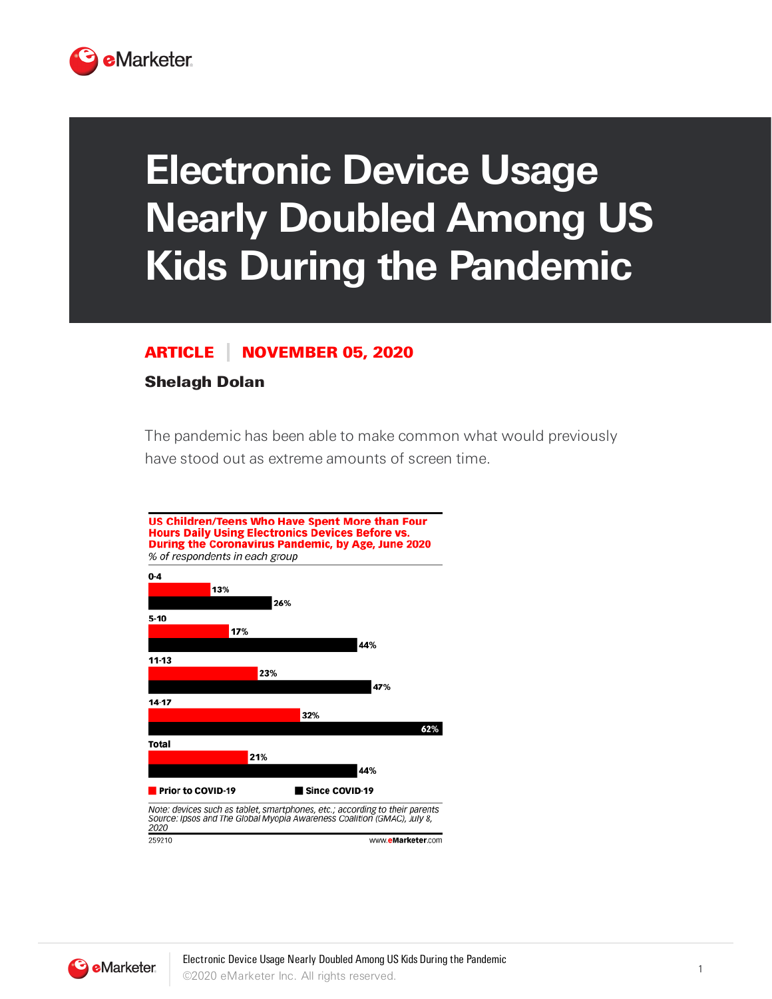

## **Electronic Device Usage Nearly Doubled Among US Kids During the Pandemic**

## ARTICLE NOVEMBER 05, 2020

## Shelagh Dolan

The pandemic has been able to make common what would previously have stood out as extreme amounts of screen time.